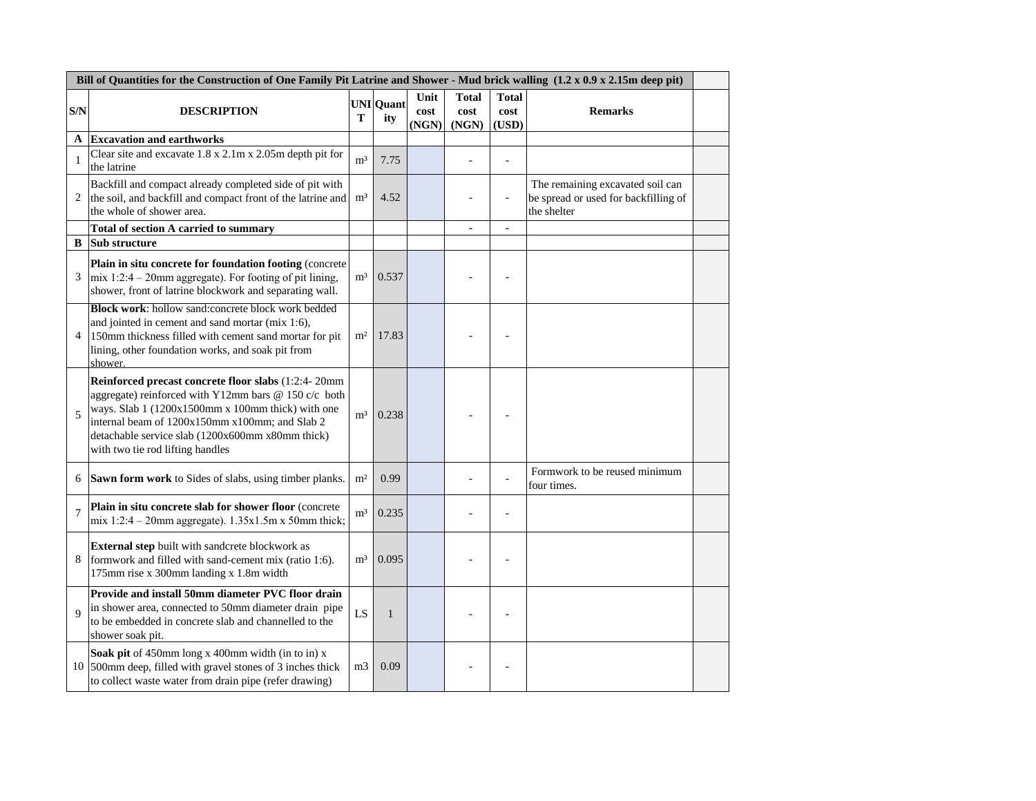| Bill of Quantities for the Construction of One Family Pit Latrine and Shower - Mud brick walling (1.2 x 0.9 x 2.15m deep pit) |                                                                                                                                                                                                                                                                                                            |                |                         |                       |                               |                               |                                                                                         |  |
|-------------------------------------------------------------------------------------------------------------------------------|------------------------------------------------------------------------------------------------------------------------------------------------------------------------------------------------------------------------------------------------------------------------------------------------------------|----------------|-------------------------|-----------------------|-------------------------------|-------------------------------|-----------------------------------------------------------------------------------------|--|
| S/N                                                                                                                           | <b>DESCRIPTION</b>                                                                                                                                                                                                                                                                                         | T              | <b>UNI</b> Quant<br>ity | Unit<br>cost<br>(NGN) | <b>Total</b><br>cost<br>(NGN) | <b>Total</b><br>cost<br>(USD) | <b>Remarks</b>                                                                          |  |
| A                                                                                                                             | <b>Excavation and earthworks</b>                                                                                                                                                                                                                                                                           |                |                         |                       |                               |                               |                                                                                         |  |
| $\mathbf{1}$                                                                                                                  | Clear site and excavate 1.8 x 2.1m x 2.05m depth pit for<br>the latrine                                                                                                                                                                                                                                    | m <sup>3</sup> | 7.75                    |                       |                               |                               |                                                                                         |  |
| 2                                                                                                                             | Backfill and compact already completed side of pit with<br>the soil, and backfill and compact front of the latrine and<br>the whole of shower area.                                                                                                                                                        | m <sup>3</sup> | 4.52                    |                       | L.                            | ÷,                            | The remaining excavated soil can<br>be spread or used for backfilling of<br>the shelter |  |
|                                                                                                                               | <b>Total of section A carried to summary</b>                                                                                                                                                                                                                                                               |                |                         |                       | $\blacksquare$                | $\blacksquare$                |                                                                                         |  |
| B                                                                                                                             | Sub structure                                                                                                                                                                                                                                                                                              |                |                         |                       |                               |                               |                                                                                         |  |
| 3                                                                                                                             | Plain in situ concrete for foundation footing (concrete<br>$mix 1:2:4 - 20mm$ aggregate). For footing of pit lining,<br>shower, front of latrine blockwork and separating wall.                                                                                                                            | m <sup>3</sup> | 0.537                   |                       |                               |                               |                                                                                         |  |
| 4                                                                                                                             | Block work: hollow sand:concrete block work bedded<br>and jointed in cement and sand mortar (mix 1:6),<br>150mm thickness filled with cement sand mortar for pit<br>lining, other foundation works, and soak pit from<br>shower.                                                                           | m <sup>2</sup> | 17.83                   |                       |                               |                               |                                                                                         |  |
| 5                                                                                                                             | Reinforced precast concrete floor slabs (1:2:4-20mm<br>aggregate) reinforced with Y12mm bars @ 150 c/c both<br>ways. Slab 1 (1200x1500mm x 100mm thick) with one<br>internal beam of 1200x150mm x100mm; and Slab 2<br>detachable service slab (1200x600mm x80mm thick)<br>with two tie rod lifting handles | m <sup>3</sup> | 0.238                   |                       |                               |                               |                                                                                         |  |
| 6                                                                                                                             | Sawn form work to Sides of slabs, using timber planks.                                                                                                                                                                                                                                                     | m <sup>2</sup> | 0.99                    |                       |                               |                               | Formwork to be reused minimum<br>four times.                                            |  |
| 7                                                                                                                             | Plain in situ concrete slab for shower floor (concrete<br>mix 1:2:4 – 20mm aggregate). $1.35x1.5m x 50mm$ thick;                                                                                                                                                                                           | m <sup>3</sup> | 0.235                   |                       |                               |                               |                                                                                         |  |
| 8                                                                                                                             | External step built with sandcrete blockwork as<br>formwork and filled with sand-cement mix (ratio 1:6).<br>175mm rise x 300mm landing x 1.8m width                                                                                                                                                        | m <sup>3</sup> | 0.095                   |                       |                               |                               |                                                                                         |  |
| $\overline{Q}$                                                                                                                | Provide and install 50mm diameter PVC floor drain<br>in shower area, connected to 50mm diameter drain pipe<br>to be embedded in concrete slab and channelled to the<br>shower soak pit.                                                                                                                    | LS             | $\mathbf{1}$            |                       |                               |                               |                                                                                         |  |
|                                                                                                                               | Soak pit of 450mm long x 400mm width (in to in) x<br>10 500mm deep, filled with gravel stones of 3 inches thick<br>to collect waste water from drain pipe (refer drawing)                                                                                                                                  | m <sub>3</sub> | 0.09                    |                       |                               |                               |                                                                                         |  |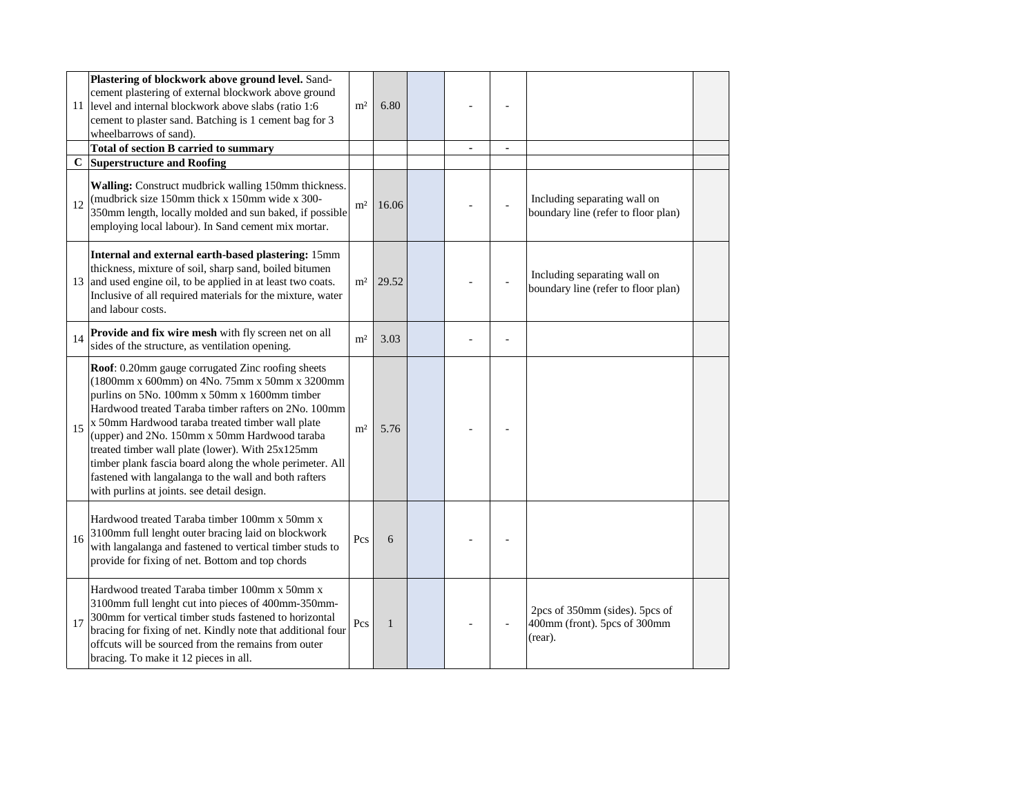| 11 | Plastering of blockwork above ground level. Sand-<br>cement plastering of external blockwork above ground<br>level and internal blockwork above slabs (ratio 1:6)<br>cement to plaster sand. Batching is 1 cement bag for 3<br>wheelbarrows of sand).                                                                                                                                                                                                                                                                                  | m <sup>2</sup> | 6.80         |  |                                                                           |  |
|----|----------------------------------------------------------------------------------------------------------------------------------------------------------------------------------------------------------------------------------------------------------------------------------------------------------------------------------------------------------------------------------------------------------------------------------------------------------------------------------------------------------------------------------------|----------------|--------------|--|---------------------------------------------------------------------------|--|
|    | <b>Total of section B carried to summary</b>                                                                                                                                                                                                                                                                                                                                                                                                                                                                                           |                |              |  |                                                                           |  |
| C  | <b>Superstructure and Roofing</b>                                                                                                                                                                                                                                                                                                                                                                                                                                                                                                      |                |              |  |                                                                           |  |
| 12 | Walling: Construct mudbrick walling 150mm thickness.<br>(mudbrick size 150mm thick x 150mm wide x 300-<br>350mm length, locally molded and sun baked, if possible<br>employing local labour). In Sand cement mix mortar.                                                                                                                                                                                                                                                                                                               | m <sup>2</sup> | 16.06        |  | Including separating wall on<br>boundary line (refer to floor plan)       |  |
| 13 | Internal and external earth-based plastering: 15mm<br>thickness, mixture of soil, sharp sand, boiled bitumen<br>and used engine oil, to be applied in at least two coats.<br>Inclusive of all required materials for the mixture, water<br>and labour costs.                                                                                                                                                                                                                                                                           | m <sup>2</sup> | 29.52        |  | Including separating wall on<br>boundary line (refer to floor plan)       |  |
| 14 | Provide and fix wire mesh with fly screen net on all<br>sides of the structure, as ventilation opening.                                                                                                                                                                                                                                                                                                                                                                                                                                | m <sup>2</sup> | 3.03         |  |                                                                           |  |
| 15 | Roof: 0.20mm gauge corrugated Zinc roofing sheets<br>(1800mm x 600mm) on 4No. 75mm x 50mm x 3200mm<br>purlins on 5No. 100mm x 50mm x 1600mm timber<br>Hardwood treated Taraba timber rafters on 2No. 100mm<br>x 50mm Hardwood taraba treated timber wall plate<br>(upper) and 2No. 150mm x 50mm Hardwood taraba<br>treated timber wall plate (lower). With 25x125mm<br>timber plank fascia board along the whole perimeter. All<br>fastened with langalanga to the wall and both rafters<br>with purlins at joints. see detail design. | m <sup>2</sup> | 5.76         |  |                                                                           |  |
| 16 | Hardwood treated Taraba timber 100mm x 50mm x<br>3100mm full lenght outer bracing laid on blockwork<br>with langalanga and fastened to vertical timber studs to<br>provide for fixing of net. Bottom and top chords                                                                                                                                                                                                                                                                                                                    | Pcs            | 6            |  |                                                                           |  |
| 17 | Hardwood treated Taraba timber 100mm x 50mm x<br>3100mm full lenght cut into pieces of 400mm-350mm-<br>300mm for vertical timber studs fastened to horizontal<br>bracing for fixing of net. Kindly note that additional four<br>offcuts will be sourced from the remains from outer<br>bracing. To make it 12 pieces in all.                                                                                                                                                                                                           | Pcs            | $\mathbf{1}$ |  | 2pcs of 350mm (sides). 5pcs of<br>400mm (front). 5pcs of 300mm<br>(rear). |  |